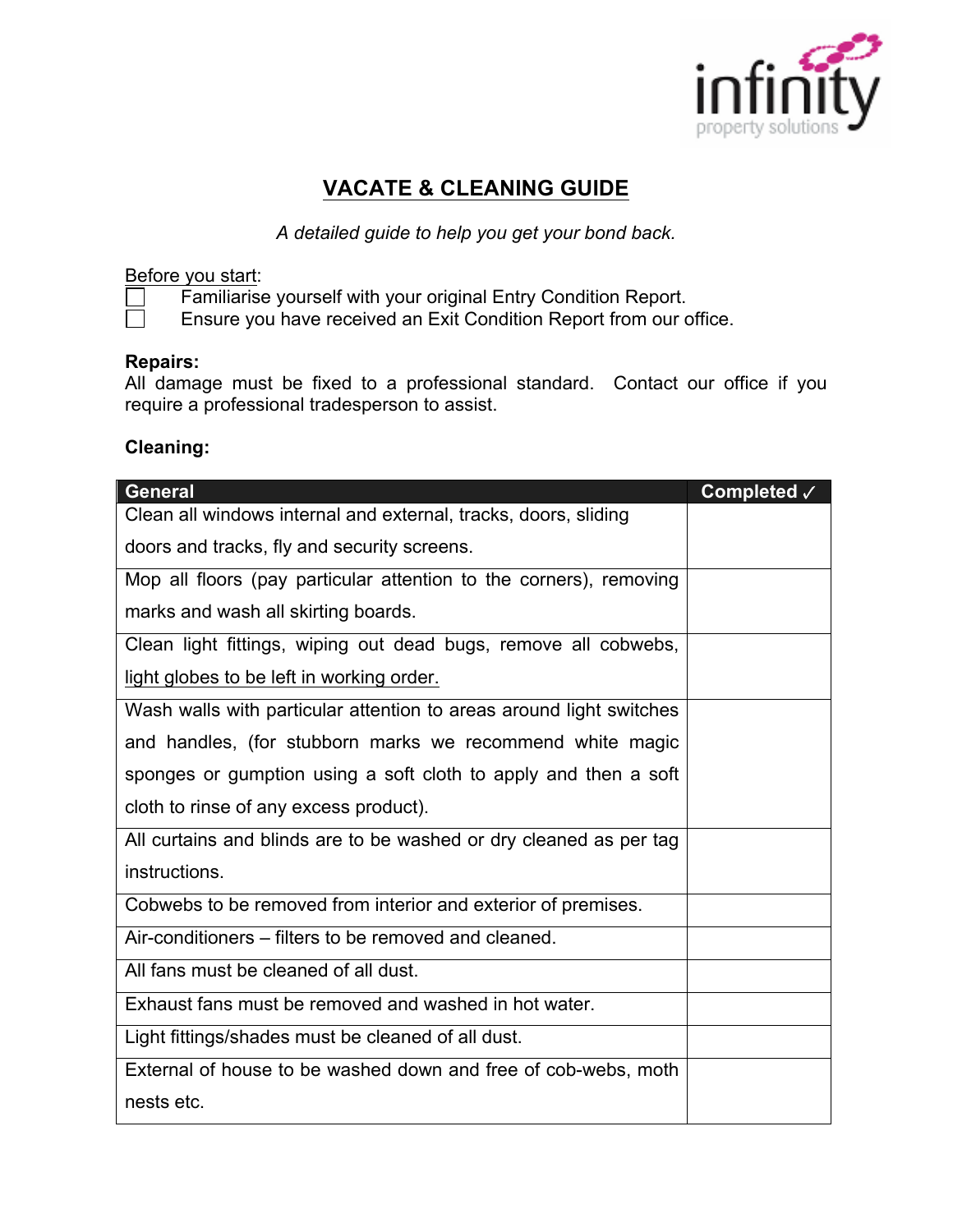

# **VACATE & CLEANING GUIDE**

*A detailed guide to help you get your bond back.*

#### Before you start:

Familiarise yourself with your original Entry Condition Report.

Ensure you have received an Exit Condition Report from our office.

#### **Repairs:**

All damage must be fixed to a professional standard. Contact our office if you require a professional tradesperson to assist.

### **Cleaning:**

| <b>General</b>                                                      | Completed √ |
|---------------------------------------------------------------------|-------------|
| Clean all windows internal and external, tracks, doors, sliding     |             |
| doors and tracks, fly and security screens.                         |             |
| Mop all floors (pay particular attention to the corners), removing  |             |
| marks and wash all skirting boards.                                 |             |
| Clean light fittings, wiping out dead bugs, remove all cobwebs,     |             |
| light globes to be left in working order.                           |             |
| Wash walls with particular attention to areas around light switches |             |
| and handles, (for stubborn marks we recommend white magic           |             |
| sponges or gumption using a soft cloth to apply and then a soft     |             |
| cloth to rinse of any excess product).                              |             |
| All curtains and blinds are to be washed or dry cleaned as per tag  |             |
| instructions.                                                       |             |
| Cobwebs to be removed from interior and exterior of premises.       |             |
| Air-conditioners – filters to be removed and cleaned.               |             |
| All fans must be cleaned of all dust.                               |             |
| Exhaust fans must be removed and washed in hot water.               |             |
| Light fittings/shades must be cleaned of all dust.                  |             |
| External of house to be washed down and free of cob-webs, moth      |             |
| nests etc.                                                          |             |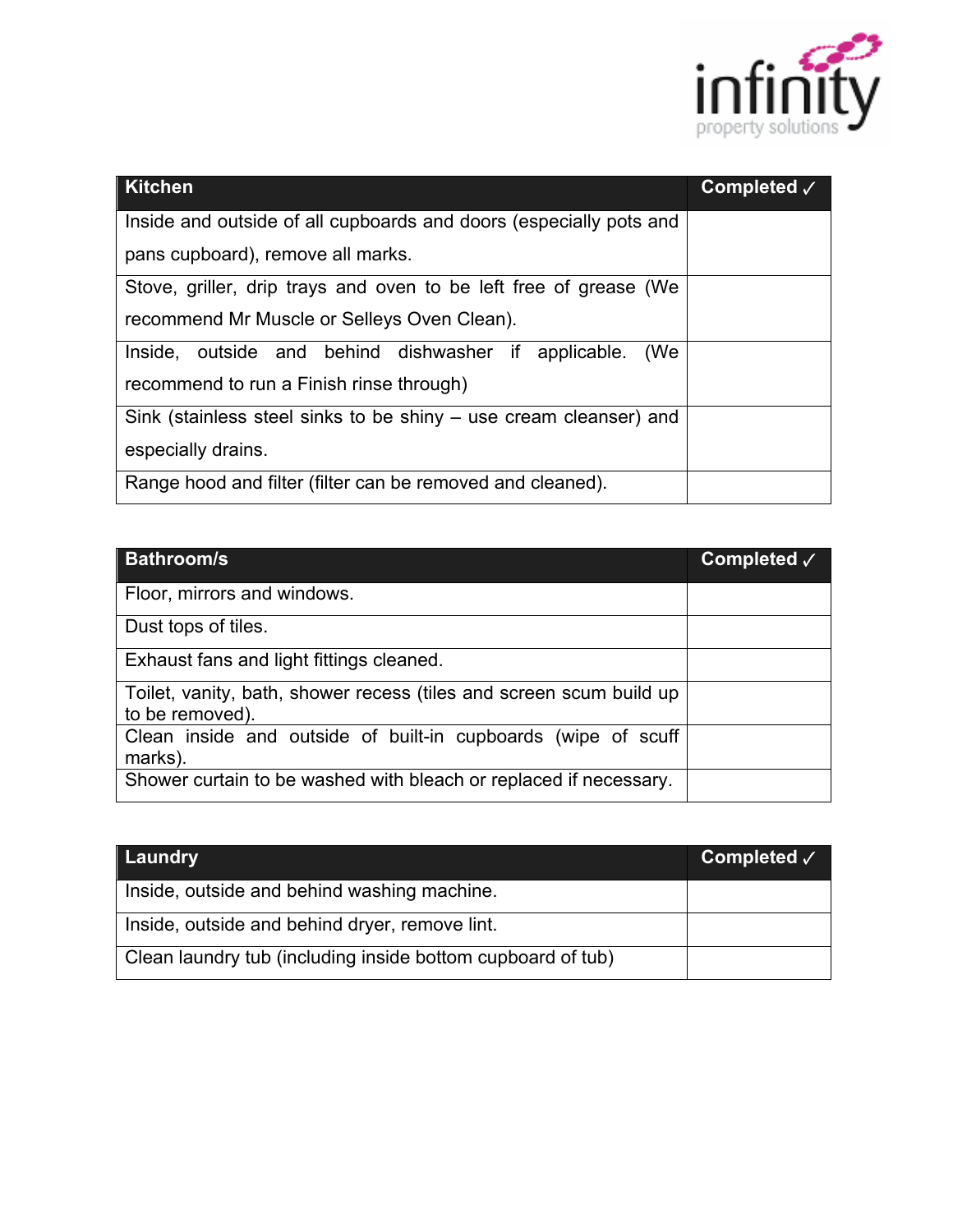

| <b>Kitchen</b>                                                     | Completed $\sqrt$ |
|--------------------------------------------------------------------|-------------------|
| Inside and outside of all cupboards and doors (especially pots and |                   |
| pans cupboard), remove all marks.                                  |                   |
| Stove, griller, drip trays and oven to be left free of grease (We  |                   |
| recommend Mr Muscle or Selleys Oven Clean).                        |                   |
| Inside, outside and behind dishwasher if applicable.<br>(We        |                   |
| recommend to run a Finish rinse through)                           |                   |
| Sink (stainless steel sinks to be shiny – use cream cleanser) and  |                   |
| especially drains.                                                 |                   |
| Range hood and filter (filter can be removed and cleaned).         |                   |

| <b>Bathroom/s</b>                                                                      | Completed $\sqrt{}$ |
|----------------------------------------------------------------------------------------|---------------------|
| Floor, mirrors and windows.                                                            |                     |
| Dust tops of tiles.                                                                    |                     |
| Exhaust fans and light fittings cleaned.                                               |                     |
| Toilet, vanity, bath, shower recess (tiles and screen scum build up<br>to be removed). |                     |
| Clean inside and outside of built-in cupboards (wipe of scuff<br>marks).               |                     |
| Shower curtain to be washed with bleach or replaced if necessary.                      |                     |

| Laundry                                                     | Completed $\sqrt{}$ |
|-------------------------------------------------------------|---------------------|
| Inside, outside and behind washing machine.                 |                     |
| Inside, outside and behind dryer, remove lint.              |                     |
| Clean laundry tub (including inside bottom cupboard of tub) |                     |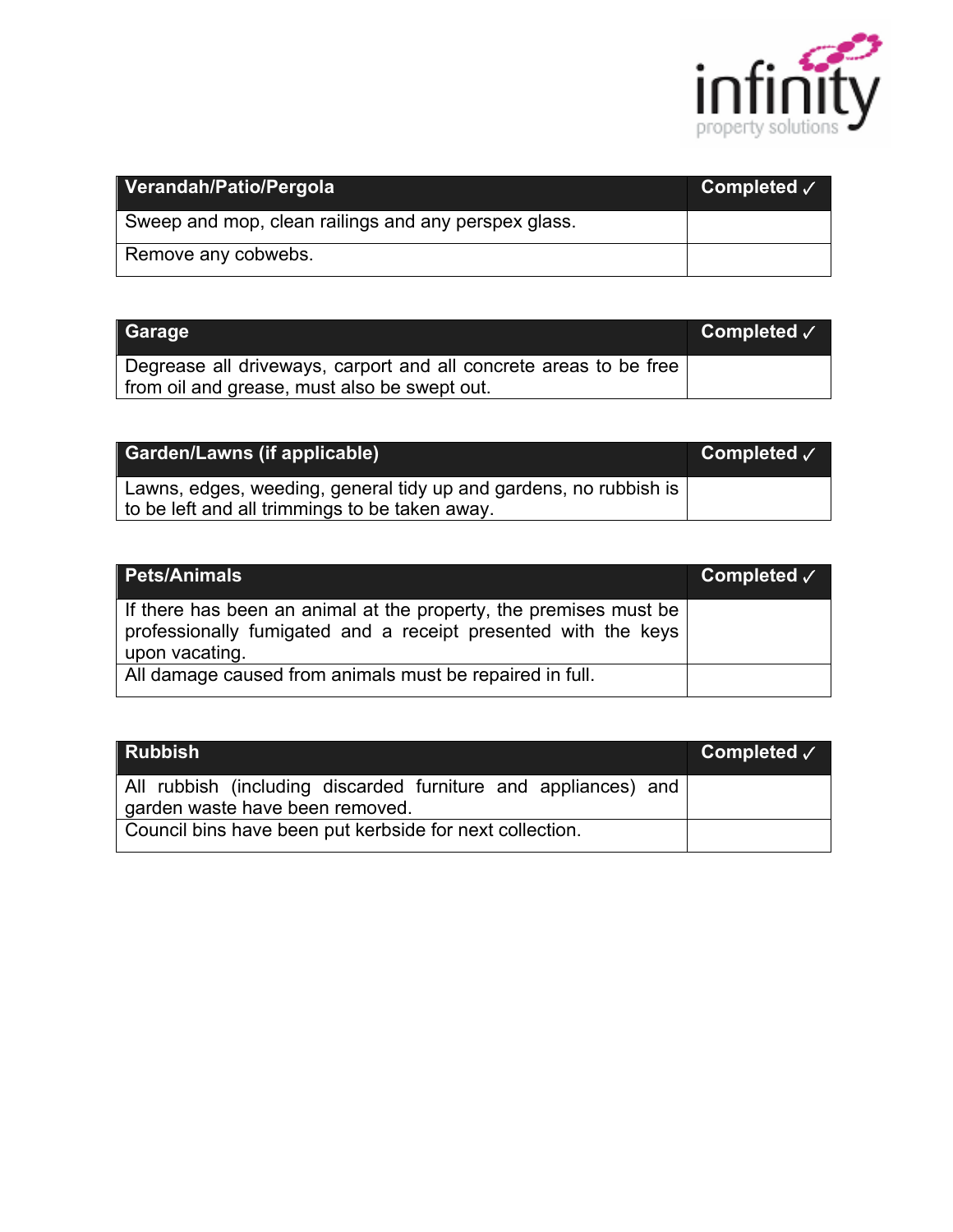

| Verandah/Patio/Pergola                               | Completed √ |
|------------------------------------------------------|-------------|
| Sweep and mop, clean railings and any perspex glass. |             |
| Remove any cobwebs.                                  |             |

| Garage                                                                                                            | Completed $\sqrt{}$ |
|-------------------------------------------------------------------------------------------------------------------|---------------------|
| Degrease all driveways, carport and all concrete areas to be free<br>from oil and grease, must also be swept out. |                     |

| <b>Garden/Lawns (if applicable)</b>                                                                                 | Completed $\sqrt{ }$ |
|---------------------------------------------------------------------------------------------------------------------|----------------------|
| Lawns, edges, weeding, general tidy up and gardens, no rubbish is<br>to be left and all trimmings to be taken away. |                      |

| <b>Pets/Animals</b>                                                                                                                                   | Completed $\checkmark$ |
|-------------------------------------------------------------------------------------------------------------------------------------------------------|------------------------|
| If there has been an animal at the property, the premises must be<br>professionally fumigated and a receipt presented with the keys<br>upon vacating. |                        |
| All damage caused from animals must be repaired in full.                                                                                              |                        |

| <b>Rubbish</b>                                                 | Completed $\sqrt{}$ |
|----------------------------------------------------------------|---------------------|
| All rubbish (including discarded furniture and appliances) and |                     |
| garden waste have been removed.                                |                     |
| Council bins have been put kerbside for next collection.       |                     |